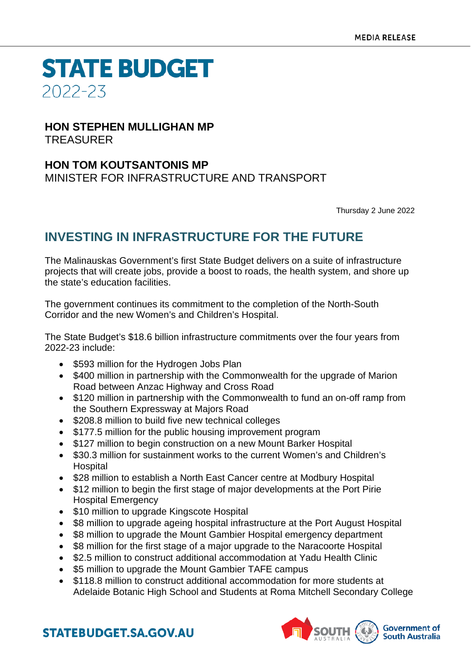**STATE BUDGET** 2022-23

### **HON STEPHEN MULLIGHAN MP** TREASURER

### **HON TOM KOUTSANTONIS MP** MINISTER FOR INFRASTRUCTURE AND TRANSPORT

Thursday 2 June 2022

## **INVESTING IN INFRASTRUCTURE FOR THE FUTURE**

The Malinauskas Government's first State Budget delivers on a suite of infrastructure projects that will create jobs, provide a boost to roads, the health system, and shore up the state's education facilities.

The government continues its commitment to the completion of the North-South Corridor and the new Women's and Children's Hospital.

The State Budget's \$18.6 billion infrastructure commitments over the four years from 2022-23 include:

- \$593 million for the Hydrogen Jobs Plan
- \$400 million in partnership with the Commonwealth for the upgrade of Marion Road between Anzac Highway and Cross Road
- \$120 million in partnership with the Commonwealth to fund an on-off ramp from the Southern Expressway at Majors Road
- \$208.8 million to build five new technical colleges
- \$177.5 million for the public housing improvement program
- \$127 million to begin construction on a new Mount Barker Hospital
- \$30.3 million for sustainment works to the current Women's and Children's Hospital
- \$28 million to establish a North East Cancer centre at Modbury Hospital
- \$12 million to begin the first stage of major developments at the Port Pirie Hospital Emergency
- \$10 million to upgrade Kingscote Hospital
- \$8 million to upgrade ageing hospital infrastructure at the Port August Hospital
- \$8 million to upgrade the Mount Gambier Hospital emergency department
- \$8 million for the first stage of a major upgrade to the Naracoorte Hospital
- \$2.5 million to construct additional accommodation at Yadu Health Clinic
- \$5 million to upgrade the Mount Gambier TAFE campus
- \$118.8 million to construct additional accommodation for more students at Adelaide Botanic High School and Students at Roma Mitchell Secondary College



**STATEBUDGET.SA.GOV.AU**